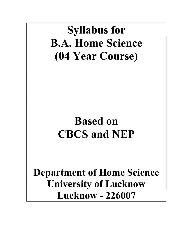# Syllabus for B.A. Home Science (04 Year Course)

# Based on CBCS and NEP

Department of Home Science University of Lucknow Lucknow - 226007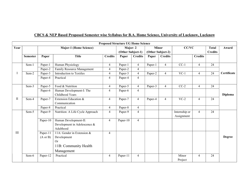|      |                 |                                 |                                                                                               | <b>Proposed Structure UG Home Science</b> |                              |                |                                   |                |                             |                |                                |               |
|------|-----------------|---------------------------------|-----------------------------------------------------------------------------------------------|-------------------------------------------|------------------------------|----------------|-----------------------------------|----------------|-----------------------------|----------------|--------------------------------|---------------|
| Year |                 | <b>Major-1 (Home Science)</b>   |                                                                                               |                                           | Major-2<br>(Other Subject-1) |                | <b>Minor</b><br>(Other Subject-2) |                | CC/VC                       |                | <b>Total</b><br><b>Credits</b> | Award         |
|      | <b>Semester</b> | Paper                           | <b>Title</b>                                                                                  | <b>Credits</b>                            | Paper                        | <b>Credits</b> | Paper                             | <b>Credits</b> |                             | <b>Credits</b> |                                |               |
|      | Sem-1           | Paper-1                         | Human Physiology                                                                              | $\overline{4}$                            | Paper-1                      | $\overline{4}$ | Paper-1                           | $\overline{4}$ | $CC-1$                      | $\overline{4}$ | 24                             | Certificate   |
|      |                 | Paper-2                         | Family Resource Management                                                                    | $\overline{4}$                            | Paper-2                      | $\overline{4}$ |                                   |                |                             |                |                                |               |
|      | Sem-2           | Paper-3                         | Introduction to Textiles                                                                      | $\overline{4}$                            | Paper-3                      | $\overline{4}$ | Paper-2                           | $\overline{4}$ | $VC-1$                      | $\overline{4}$ | 24                             |               |
|      |                 | Paper-4                         | Practical                                                                                     | $\overline{4}$                            | Paper-4                      | $\overline{4}$ |                                   |                |                             |                |                                |               |
|      | Sem-3           | Paper-5                         | Food & Nutrition                                                                              | $\overline{4}$                            | Paper-5                      | 4              | Paper-3                           | $\overline{4}$ | $CC-2$                      | $\overline{4}$ | 24                             |               |
|      |                 | Paper-6                         | Human Development-I: The<br>Childhood Years                                                   | $\overline{4}$                            | Paper-6                      | 4              |                                   |                |                             |                |                                | Diploma       |
| П    | Sem-4           | Paper-7                         | Extension Education &<br>Communication                                                        | $\overline{4}$                            | Paper-7                      | 4              | Paper-4                           | 4              | $VC-2$                      | $\overline{4}$ | 24                             |               |
|      |                 | Paper-8                         | Practical                                                                                     | $\overline{4}$                            | Paper-8                      | $\overline{4}$ |                                   |                |                             |                |                                |               |
|      | Sem-5           | Paper-9                         | Nutrition: A Life Cycle Approach                                                              | $\overline{4}$                            | Paper-9                      | 4              |                                   |                | Internship or<br>Assignment | $\overline{4}$ | 24                             |               |
|      |                 | Paper-10                        | Human Development-II:<br>Development in Adolescence $\&$<br>Adulthood                         | $\overline{4}$                            | Paper-10                     | 4              |                                   |                |                             |                |                                |               |
| III  |                 | Paper-11<br>$(A \text{ or } B)$ | 11A: Gender in Extension &<br>Development<br><b>Or</b><br>11B: Community Health<br>Management | $\overline{4}$                            |                              |                |                                   |                |                             |                |                                | <b>Degree</b> |
|      | Sem-6           | Paper-12                        | Practical                                                                                     | $\overline{4}$                            | Paper-11                     | 4              |                                   |                | Minor<br>Project            | $\overline{4}$ | 24                             |               |

# CBCS & NEP Based Proposed Semester wise Syllabus for B.A. Home Science, University of Lucknow, Lucknow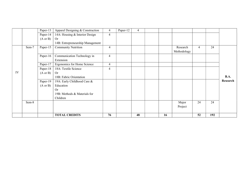|    |       | Paper-13            | Apparel Designing & Construction | $\overline{4}$ | Paper-12 | $\overline{4}$ |    |             |                |     |             |
|----|-------|---------------------|----------------------------------|----------------|----------|----------------|----|-------------|----------------|-----|-------------|
|    |       | Paper-14            | 14A: Housing & Interior Design   | $\overline{4}$ |          |                |    |             |                |     |             |
|    |       | $(A \text{ or } B)$ | <b>Or</b>                        |                |          |                |    |             |                |     |             |
|    |       |                     | 14B: Entrepreneurship Management |                |          |                |    |             |                |     |             |
|    | Sem-7 | Paper-15            | <b>Community Nutrition</b>       | $\overline{4}$ |          |                |    | Research    | $\overline{4}$ | 24  |             |
|    |       |                     |                                  |                |          |                |    | Methodology |                |     |             |
|    |       | Paper-16            | Communication Technology in      | $\overline{4}$ |          |                |    |             |                |     |             |
|    |       |                     | Extension                        |                |          |                |    |             |                |     |             |
|    |       | Paper-17            | Ergonomics for Home Science      | $\overline{4}$ |          |                |    |             |                |     |             |
|    |       | Paper-18            | 18A: Textile Science             | $\overline{4}$ |          |                |    |             |                |     |             |
| IV |       | $(A \text{ or } B)$ | <b>Or</b>                        |                |          |                |    |             |                |     |             |
|    |       |                     | 18B: Fabric Orientation          |                |          |                |    |             |                |     | <b>B.A.</b> |
|    |       | Paper-19            | 19A: Early Childhood Care &      |                |          |                |    |             |                |     | Research    |
|    |       | $(A \text{ or } B)$ | Education                        |                |          |                |    |             |                |     |             |
|    |       |                     | <b>Or</b>                        |                |          |                |    |             |                |     |             |
|    |       |                     | 19B: Methods & Materials for     |                |          |                |    |             |                |     |             |
|    |       |                     | Children                         |                |          |                |    |             |                |     |             |
|    | Sem-8 |                     |                                  |                |          |                |    | Major       | 24             | 24  |             |
|    |       |                     |                                  |                |          |                |    | Project     |                |     |             |
|    |       |                     |                                  |                |          |                |    |             |                |     |             |
|    |       |                     | <b>TOTAL CREDITS</b>             | 76             |          | 48             | 16 |             | 52             | 192 |             |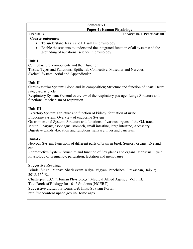# Paper-1: Human Physiology

# Credits: 4 Theory: 04 + Practical: 00

# Course outcomes:

- To understand basics of Human physiology
- Enable the students to understand the integrated function of all systemsand the grounding of nutritional science in physiology.

#### Unit-I

Cell: Structure, components and their function.

Tissue: Types and Functions; Epithelial, Connective, Muscular and Nervous Skeletal System: Axial and Appendicular

# Unit-II

Cardiovascular System: Blood and its composition; Structure and function of heart; Heart rate, cardiac cycle

Respiratory System: General overview of the respiratory passage; Lungs-Structure and functions; Mechanism of respiration

# Unit-III

Excretory System: Structure and function of kidney, formation of urine Endocrine system: Overview of endocrine System

Gastrointestinal System: Structure and functions of various organs of the G.I. tract, Mouth, Pharynx, esophagus, stomach, small intestine, large intestine, Accessory, Digestive glands -Location and functions, salivary, liver and pancreas.

# Unit-IV

Nervous System: Functions of different parts of brain in brief; Sensory organs- Eye and ear

Reproductive System: Structure and function of Sex glands and organs; Menstrual Cycle; Physiology of pregnancy, parturition, lactation and menopause

# Suggestive Reading:

Brinda Singh, Manav Sharir evam Kriya Vigyan Panchsheel Prakashan, Jaipur; 2015,  $15^{th}$  Ed.

Chatterjee, C.C., "Human Physiology" Medical Allied Agency; Vol I, II.

Text Book of Biology for 10+2 Students (NCERT)

Suggestive digital platforms web links- Svayam Portal,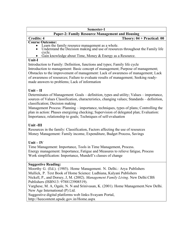# Paper-2: Family Resource Management and Housing

#### Credits: 4 Theory: 04 + Practical: 00

#### Course Outcome:

- Learn the family resource management as a whole.
- Understand the Decision making and use of resources throughout the Family life cycle.
- Gain knowledge about Time, Money & Energy as a Resource.

#### Unit-I

Introduction to Family: Definition, functions and types; Family life cycle Introduction to management: Basic concept of management; Purpose of management; Obstacles to the improvement of management: Lack of awareness of management; Lack of awareness of resources; Failure to evaluate results of management; Seeking readymade answers to problems; Lack of information

# $Unit - II$

Determinates of Management: Goals – definition, types and utility; Values – importance, sources of Values Classification, characteristics, changing values; Standards – definition, classification; Decision making

Management Process: Planning – importance, techniques, types of plans; Controlling the plan in action: Phases energizing checking; Supervision of delegated plan; Evaluation: Importance, relationship to goals; Techniques of self-evaluation

# Unit -III

Resources in the family: Classification, Factors affecting the use of resources Money Management: Family income, Expenditure, Budget Process, Savings

# $Unit - IV$

Time Management: Importance, Tools in Time Management, Process. Energy management: Importance, Fatigue and Measures to relieve fatigue, Process Work simplification: Importance, Mundell's classes of change

# Suggestive Reading:

Moorthy G. (Ed.). (1985). Home Management. N. Delhi.: Arya Publishers Mullick, P. Text Book of Home Science: Ludhiana, Kalyani Publishers Nickell, P., and Dorsey, J, M. (2002). Management Family Living. New Delhi: CBS Publishers (ISBN13: 9788123908519). Varghese, M. A, Ogale, N. N and Srinivasan, K. (2001). Home Management. New Delhi. New Age International (P) Ltd.

Suggestive digital platforms web links- Svayam Portal,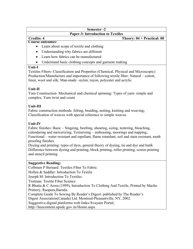#### Semester -2 Paper-3: Introduction to Textiles

# Credits: 4 Theory: 04 + Practical: 00

# Course outcomes:

- Learn about scope of textile and clothing
- Understanding why fabrics are different
- Learn how fabrics can be manufactured
- Understand basic clothing concepts and garment making

#### Unit-I

Textiles Fibers- Classification and Properties (Chemical, Physical and Microscopic) Production/Manufacture and importance of following textile fiber: Natural – cotton, linen, wool and silk; Man-made –nylon, rayon, polyester and acrylic

# Unit-II

Yarn Construction- Mechanical and chemical spinning: Types of yarn- simple and complex; Yarn twist and count

# Unit-III

Fabric construction methods: felting, braiding, netting, knitting and weaving; Classification of weaves with special reference to simple weaves

# Unit-IV

Fabric finishes: Basic – Singeing, beetling, shearing, sizing, teetering, bleaching, calendaring and mercerizing; Texturizing – embossing, moorings and napping; Functional – water resistant and repellant, flame retardant, soil and stain resistant, moth proofing finishes

Dyeing and printing: types of dyes, general theory of dyeing, tie and dye and batik Difference between dyeing and printing, block printing, roller printing, screen printing and stencil printing

# Suggestive Reading:

Colbmen P Bernard: Textiles Fiber To Fabric Hollen & Saddler: Introduction To Textile Joseph M: Introduction To Textiles Trotman: Textile Fiber Science R Bhatia & C Arora (1999), Introduction To Clothing And Textile, Printed by Macho Printery, Raopura, Baroda. Complete Guide To Sewing By Reader's Digest: published by The Reader's Digest Association (Canada) Ltd. Montreal-Pleasantville, NY, 2002. Suggestive digital platforms web links- Svayam Portal, http://heecontent.upsdc.gov.in/Home.aspx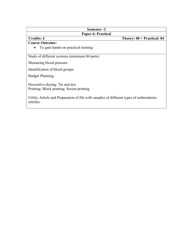#### Semester -2 Paper-4: Practical

# Credits: 4 Theory: 00 + Practical: 04

#### Course Outcome:

To gain hands-on practical training

Study of different systems (minimum 04 parts)

Measuring blood pressure

Identification of blood groups

Budget Planning.

Decorative dyeing: Tie and dye Printing: Block printing; Screen printing

Utility Article and Preparation of file with samples of different types of embroideries stitches.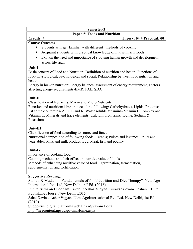#### Semester-3 Paper-5: Foods and Nutrition

# Credits: 4 Theory: 04 + Practical: 00

#### Course Outcome:

- Students will get familiar with different methods of cooking
- Acquaint students with practical knowledge of nutrient rich foods
- Explain the need and importance of studying human growth and development across life span

#### Unit-I

Basic concept of Food and Nutrition: Definition of nutrition and health; Functions of food-physiological, psychological and social; Relationship between food nutrition and health.

Energy in human nutrition: Energy balance, assessment of energy requirement; Factors affecting energy requirements-BMR, PAL, SDA

# Unit-II

Classification of Nutrients: Macro and Micro Nutrients

Function and nutritional importance of the following: Carbohydrates, Lipids, Proteins; Fat soluble Vitamins- A, D, E and K; Water soluble Vitamins- Vitamin B Complex and Vitamin C; Minerals and trace elements: Calcium, Iron, Zink, Iodine, Sodium & Potassium

# Unit-III

Classification of food according to source and function Nutritional composition of following foods: Cereals; Pulses and legumes; Fruits and

vegetables; Milk and milk product; Egg, Meat, fish and poultry

# Unit-IV

Importance of cooking food Cooking methods and their effect on nutritive value of foods Methods of enhancing nutritive value of food – germination, fermentation, supplementation and fortification

# Suggestive Reading:

Sumati R Mudami, "Fundamentals of food Nutrition and Diet Therapy", New Age International Pvt. Ltd, New Delhi,  $6<sup>th</sup>$  Ed. (2018)

Punita Sethi and Poonam Lakda, "Aahar Vigyan, Suraksha evam Poshan"; Elite Publishing House, New Delhi ;2015

Sahai Devina, Aahar Vigyan, New Age International Pvt. Ltd, New Delhi, 1st Ed. (2019)

Suggestive digital platforms web links- Svayam Portal,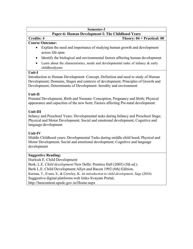# Paper-6: Human Development I: The Childhood Years

# Credits: 4 Theory: 04 + Practical: 00

#### Course Outcome:

- Explain the need and importance of studying human growth and development across life span
- Identify the biological and environmental factors affecting human development.
- Learn about the characteristics, needs and developmental tasks of infancy & early childhoodyears

#### Unit-I

Introduction to Human Development: Concept, Definition and need to study of Human Development; Domains, Stages and contexts of development; Principles of Growth and Development; Determinants of Development- heredity and environment

# Unit-II

Prenatal Development, Birth and Neonate: Conception, Pregnancy and Birth; Physical appearance and capacities of the new born; Factors affecting Pre-natal development.

# Unit-III

Infancy and Preschool Years: Developmental tasks during Infancy and Preschool Stage; Physical and Motor Development; Social and emotional development; Cognitive and language development

# Unit-IV

Middle Childhood years: Developmental Tasks during middle child hood; Physical and Motor Development; Social and emotional development; Cognitive and language development

# Suggestive Reading:

Hurlock E. Child Development

Berk, L.E. Child development New Delhi: Prentice Hall (2005) (5th ed.). Berk L.E. Child Development Allyn and Bacon 1992 (6th) Edition. Keenan, T., Evans, S., & Crowley, K. An introduction to child development, Sage (2016) Suggestive digital platforms web links- Svayam Portal, http://heecontent.upsdc.gov.in/Home.aspx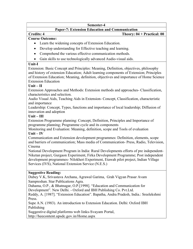#### Paper-7: Extension Education and Communication

#### Credits: 4 Theory: 04 + Practical: 00

# Course Outcome:

- Learn the widening concepts of Extension Education.
- Develop understanding for Effective teaching and learning.
- Comprehend the various effective communication methods.
- Gain skills to use technologically advanced Audio-visual aids.

# Unit-I

Extension: Basic Concept and Principles: Meaning, Definition, objectives, philosophy and history of extension Education; Adult learning components of Extension; Principles of Extension Education; Meaning, definition, objectives and importance of Home Science Extension Education

# $Unit - II$

Extension Approaches and Methods: Extension methods and approaches- Classification, characteristics and selection.

Audio Visual Aids, Teaching Aids in Extension- Concept, Classification, characteristic and importance

Leadership: Concept, Types, functions and importance of local leadership; Diffusion of innovation and adoption

# $Unit - III$

Extension Programme planning: Concept, Definition, Principles and Importance of programme planning; Programme cycle and its components

Monitoring and Evaluation: Meaning, definition, scope and Tools of evaluation  $Unit - IV$ 

Communication and Extension development programmes: Definition, elements, scope and barriers of communication; Mass media of Communication- Press, Radio, Television, Cinema

National Development Program in India: Rural Developments efforts of pre independent-Niketan project, Gurgaon Experiment, Firka Development Programme; Post independent development programmes- Nilokheri Experiment, Etawah pilot project, Indian Village Services (IVS), National Extension Service (N.E.S.)

# Suggestive Reading:

Dubey V.K, Srivastava Archana, Agrawal Garima, Grah Vigyan Prasar Avam Sampreshan. Star Publications Agra.

Dahama, O.P., & Bhatnagar, O.P.[1998]. "Education and Communication for Development". New Delhi. - Oxford and IBH Publishing Co. Pvt.Ltd.

Reddy, A. [1987]. "Extension Education". Bapatha, Andra Pradesh, India.: Sreelekshmi Press.

Supe A.N. (1983). An introduction to Extension Education. Delhi: Oxford IBH Publishing

Suggestive digital platforms web links- Svayam Portal,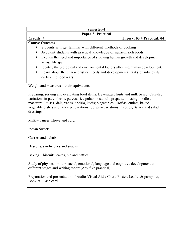| Semester-4                                                                                                                                                                                                                                                                                                                                                                    |  |  |  |  |  |  |  |
|-------------------------------------------------------------------------------------------------------------------------------------------------------------------------------------------------------------------------------------------------------------------------------------------------------------------------------------------------------------------------------|--|--|--|--|--|--|--|
| <b>Paper-8: Practical</b>                                                                                                                                                                                                                                                                                                                                                     |  |  |  |  |  |  |  |
| <b>Credits: 4</b><br>Theory: $00 + \text{Practical: } 04$                                                                                                                                                                                                                                                                                                                     |  |  |  |  |  |  |  |
| <b>Course Outcome:</b>                                                                                                                                                                                                                                                                                                                                                        |  |  |  |  |  |  |  |
| Students will get familiar with different methods of cooking                                                                                                                                                                                                                                                                                                                  |  |  |  |  |  |  |  |
| Acquaint students with practical knowledge of nutrient rich foods<br>٠                                                                                                                                                                                                                                                                                                        |  |  |  |  |  |  |  |
| Explain the need and importance of studying human growth and development<br>٠                                                                                                                                                                                                                                                                                                 |  |  |  |  |  |  |  |
| across life span                                                                                                                                                                                                                                                                                                                                                              |  |  |  |  |  |  |  |
| Identify the biological and environmental factors affecting human development.<br>ш                                                                                                                                                                                                                                                                                           |  |  |  |  |  |  |  |
| Learn about the characteristics, needs and developmental tasks of infancy $\&$<br>٠                                                                                                                                                                                                                                                                                           |  |  |  |  |  |  |  |
| early childhoodyears                                                                                                                                                                                                                                                                                                                                                          |  |  |  |  |  |  |  |
|                                                                                                                                                                                                                                                                                                                                                                               |  |  |  |  |  |  |  |
| Weight and measures - their equivalents                                                                                                                                                                                                                                                                                                                                       |  |  |  |  |  |  |  |
| Preparing, serving and evaluating food items: Beverages, fruits and milk based; Cereals,<br>variations in parenthesis, purees, rice pulao, dosa, idli, preparation using noodles,<br>macaroni; Pulses- dals, vadas, dhokla, kadis; Vegetables - koftas, cutlets, baked<br>vegetable dishes and fancy preparations; Soups – variations in soups; Salads and salad<br>dressings |  |  |  |  |  |  |  |
| Milk – paneer, khoya and curd                                                                                                                                                                                                                                                                                                                                                 |  |  |  |  |  |  |  |
| <b>Indian Sweets</b>                                                                                                                                                                                                                                                                                                                                                          |  |  |  |  |  |  |  |
| Curries and kababs                                                                                                                                                                                                                                                                                                                                                            |  |  |  |  |  |  |  |
| Desserts, sandwiches and snacks                                                                                                                                                                                                                                                                                                                                               |  |  |  |  |  |  |  |
| Baking – biscuits, cakes, pie and patties                                                                                                                                                                                                                                                                                                                                     |  |  |  |  |  |  |  |
| Study of physical, motor, social, emotional, language and cognitive development at<br>different stages and writing report (Any five practical)                                                                                                                                                                                                                                |  |  |  |  |  |  |  |
| Preparation and presentation of Audio-Visual Aids: Chart, Poster, Leaflet & pamphlet,<br>Booklet, Flash card                                                                                                                                                                                                                                                                  |  |  |  |  |  |  |  |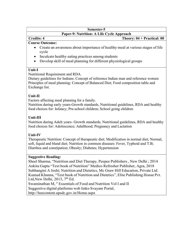# Paper-9: Nutrition: A Life Cycle Approach

# Credits: 4 Theory: 04 + Practical: 00

#### Course Outcome:

- Create an awareness about importance of healthy meal at various stages of life cycle
- Inculcate healthy eating practices among students
- Develop skill of meal planning for different physiological groups

# Unit-I

# Nutritional Requirement and RDA.

Dietary guidelines for Indians: Concept of reference Indian man and reference women Principles of meal planning: Concept of Balanced Diet; Food composition table and Exchange list.

# Unit-II

Factors affecting meal planning for a family.

Nutrition during early years-Growth standards, Nutritional guidelines, RDA and healthy food choices for: Infancy; Pre-school children; School going children

# Unit-III

Nutrition during Adult years- Growth standards, Nutritional guidelines, RDA and healthy food choices for: Adolescence; Adulthood; Pregnancy and Lactation

# Unit-IV

Therapeutic Nutrition: Concept of therapeutic diet; Modification in normal diet; Normal, soft, liquid and bland diet; Nutrition in common diseases: Fever, Typhoid and T.B; Diarrhea and constipation; Obesity; Diabetes; Hypertension

# Suggestive Reading:

Sheel Sharma, "Nutrition and Diet Therapy, Peepee Publishers , New Delhi ; 2014 Ankita Gupta "Text book of Nutrition" Medico Refresher Publisher, Agra, 2018 Subhangini A Joshi; Nutrition and Dietetics, Mc Graw Hill Education, Private Ltd. Kumud Khanna, "Text book of Nutrition and Dietetics", Elite Publishing House Pvt. Ltd, New Delhi, 2013,  $7<sup>th</sup>$  Ed.

Swaminathan M, " Essentials of Food and Nutrition Vol I and II

Suggestive digital platforms web links- Svayam Portal,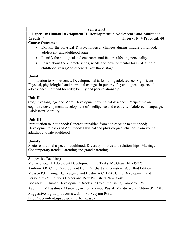Paper-10: Human Development II: Development in Adolescence and Adulthood Credits: 4 Theory: 04 + Practical: 00

#### Course Outcome:

- Explain the Physical & Psychological changes during middle childhood, adolescent and adulthood stage.
- Identify the biological and environmental factors affecting personality.
- Learn about the characteristics, needs and developmental tasks of Middle childhood years, Adolescent & Adulthood stage.

# Unit-I

Introduction to Adolescence: Developmental tasks during adolescence; Significant Physical, physiological and hormonal changes in puberty; Psychological aspects of adolescence; Self and Identify; Family and peer relationship

# Unit-II

Cognitive language and Moral Development during Adolescence: Perspective on cognitive development, development of intelligence and creativity; Adolescent language; Adolescent Morality

# Unit-III

Introduction to Adulthood: Concept, transition from adolescence to adulthood; Developmental tasks of Adulthood; Physical and physiological changes from young adulthood to late adulthood

# Unit-IV

Socio- emotional aspect of adulthood: Diversity in roles and relationships; Marriage-Contemporary trends; Parenting and grand parenting

# Suggestive Reading:

Monaster G.J. 1 Adolescent Development Life Tasks. Mc.Graw Hill (1977). Ambron S.R. Child Development Holt, Renehart and Winston 1978 (IInd Edition). Mussen P.H. Conger J.J. Kagan J and Huston A.C. 1990. Child Development and Personality (VI Edition) Harper and Row Publishers New York. Boeknek G. Human Development Brook and Cole Publishing Company 1980. Aadhunik Vikasatmak Manovigyan , Shri Vinod Pustak Mandir Agra Edition 3rd 2015 Suggestive digital platforms web links- Svayam Portal, http://heecontent.upsdc.gov.in/Home.aspx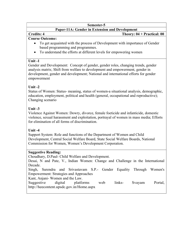#### Paper-11A: Gender in Extension and Development

# Credits: 4 Theory: 04 + Practical: 00

# Course Outcome:

- To get acquainted with the process of Development with importance of Gender based programming and programmes.
- To understand the efforts at different levels for empowering women

# Unit -1

Gender and Development: Concept of gender, gender roles, changing trends, gender analysis matrix; Shift from welfare to development and empowerment, gender in development, gender and development; National and international efforts for gender empowerment

# Unit -2

Status of Women: Status- meaning, status of women-a situational analysis, demographic, education, employment, political and health (general, occupational and reproductive); Changing scenario

# Unit  $-3$

Violence Against Women: Dowry, divorce, female foeticide and infanticide, domestic violence, sexual harassment and exploitation, portrayal of women in mass media; Efforts for elimination of all forms of discrimination.

# Unit  $-4$

Support System: Role and functions of the Department of Women and Child Development, Central Social Welfare Board, State Social Welfare Boards, National Commission for Women, Women's Development Corporation.

# Suggestive Reading:

Choudhary, D.Paul- Child Welfare and Development.

Desai, N and Pate, V., Indian Women: Change and Challenge in the International Decade.

Singh, Surendra and Srivastavam S.P.- Gender Equality Through Women's Empowerment: Strategies and Approaches

Kant, Anjani- Women and the Law.

Suggestive digital platforms web links- Svayam Portal, http://heecontent.upsdc.gov.in/Home.aspx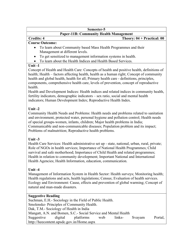# Paper-11B: Community Health Management

# Credits: 4 Theory: 04 + Practical: 00

# Course Outcome:

- To learn about Community based Mass Health Programmes and their Management at different levels.
- To get sensitized to management information systems in health.
- To learn about the Health Indices and Health Based Services.

# $Unit -1$

Concept of Health and Health Care: Concepts of health and positive health, definitions of health; Health – factors affecting health, health as a human right; Concept of community health and global health, health for all; Primary health care - definitions, principles, components, comprehensive health care, levels of prevention, concept of reproductive health.

Health and Development Indices: Health indices and related indices in community health, fertility indicators, demographic indicators – sex ratio, social and mental health indicators; Human Development Index; Reproductive Health Index.

# Unit -2

Community Health Needs and Problems: Health needs and problems related to sanitation and environment, protected water, personal hygiene and pollution control; Health needs of special groups-women, infants, children; Major health problems in India; Communicable and non-communicable diseases; Population problem and its impact; Problems of malnutrition; Reproductive health problems.

# Unit -3

Health Care Services: Health administrative set up - state, national, urban, rural, private; Role of NGOs in health services; Importance of National Health Programmes; Child survival and safe motherhood; Importance of Child Health and related programmes; Health in relation to community development; Important National and International Health Agencies; Health Information, education, communication.

# Unit -4

Management of Information System in Health Sector: Health surveys; Monitoring health; Health regulations and acts, health legislations; Census; Evaluation of health services. Ecology and Environment: Cause, effects and prevention of global warming; Concept of natural and man-made disasters.

# Suggestive Reading

Suchman, E.H.- Sociology in the Field of Public Health. Smolenske- Principles of Community Health. Dak, T.M.- Sociology of Health in India Mangatt, A.N. and Bomen, S.C.- Social Service and Mental Health Suggestive digital platforms web links- Svayam Portal, http://heecontent.upsdc.gov.in/Home.aspx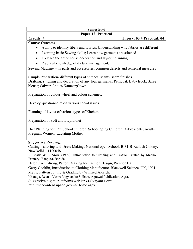#### Semester-6 Paper-12: Practical

#### Credits: 4 Theory:  $00 + \text{Practical: } 04$ Course Outcome:

# Ability to identify fibers and fabrics; Understanding why fabrics are different

- Learning basic Sewing skills; Learn how garments are stitched
- To learn the art of house decoration and lay-out planning
- Practical knowledge of dietary management.

Sewing Machine – its parts and accessories, common defects and remedial measures

Sample Preparation- different types of stitches, seams, seam finishes. Drafting, stitching and decoration of any four garments: Petticoat; Baby frock; Saree blouse; Salwar; Ladies Kameez;Gown

Preparation of colour wheel and colour schemes.

Develop questionnaire on various social issues.

Planning of layout of various types of Kitchen.

Preparation of Soft and Liquid diet

Diet Planning for: Pre School children, School going Children, Adolescents, Adults, Pregnant Women; Lactating Mother

#### Suggestive Reading:

Cutting Tailoring and Dress Making: National open School, B-31-B Kailash Colony, New Delhi – 1100048.

R Bhatia & C Arora (1999), Introduction to Clothing and Textile, Printed by Macho Printery, Raopura, Baroda

Helen J Armstrong, Pattern Making for Fashion Design, Prentice Hall

Gerry Cooklin, Introduction to Clothing Manufacture, Blackwell Science, UK, 1991 Metric Pattern cutting & Grading by Winfred Aldrich.

Khanuja, Reena. Vastra Vigyaan ke Sidhant, Agrawal Publication, Agra.

Suggestive digital platforms web links- Svayam Portal,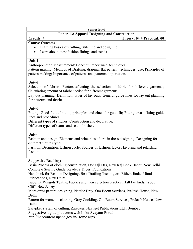# Paper-13: Apparel Designing and Construction

# Credits: 4 Theory: 04 + Practical: 00

#### Course Outcome:

- Learning basics of Cutting, Stitching and designing
- Learn about latest fashion fittings and trends

#### Unit-1

Anthropometric Measurement: Concept, importance, techniques.

Pattern making: Methods of Drafting, draping, flat pattern, techniques, use; Principles of pattern making; Importance of patterns and patterns importation.

# Unit-2

Selection of fabrics: Factors affecting the selection of fabric for different garments; Calculating amount of fabric needed for different garments.

Lay out planning: Definition, types of lay outs; General guide lines for lay out planning for patterns and fabric.

# Unit-3

Fitting: Good fit, definition, principles and clues for good fit; Fitting areas, fitting guide lines and procedures.

Different types of stitches: Construction and decorative.

Different types of seams and seam finishes.

# Unit-4

Fashion and design: Elements and principles of arts in dress designing; Designing for different figures types

Fashion: Definition, fashion cycle; Sources of fashion, factors favoring and retarding fashion

# Suggestive Reading:

Basic Process of clothing construction, Dongaji Das, New Raj Book Depot, New Delhi Complete Sewing Guide, Reader's Digest Publications

Handbook for Fashion Designing, Best Drafting Techniques, Rither, Jindal Mittal Publications, New Delhi

Isabel B. Wingots Textile, Fabrics and their selection practice, Hall Ive Ends, Wood Cliff, New Jersey

More dress pattern designing, Natalie Bray, Om Boom Services, Prakash House, New Delhi

Pattern for women's clothing, Grey Cookling, Om Boom Services, Prakash House, New Delhi

Zarapker system of cutting, Zarepker, Navneet Publications Ltd., Bombay Suggestive digital platforms web links-Svayam Portal,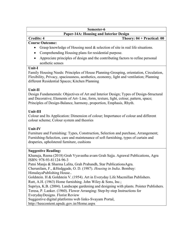# Paper-14A: Housing and Interior Design

# Credits: 4 Theory: 04 + Practical: 00

# Course Outcome:

- Grasp knowledge of Housing need  $&$  selection of site in real life situations.
- Comprehending Housing plans for residential purpose.
- Appreciate principles of design and the contributing factors to refine personal aesthetic senses

#### Unit-I

Family Housing Needs: Principles of House Planning-Grouping, orientation, Circulation, Flexibility, Privacy, spaciousness, aesthetics, economy, light and ventilation; Planning different Residential Spaces; Kitchen Planning

# Unit-II

Design Fundamentals: Objectives of Art and Interior Design; Types of Design-Structural and Decorative; Elements of Art- Line, form, texture, light, colour, pattern, space; Principles of Design-Balance, harmony, proportion, Emphasis, Rhyth.

# Unit-III

Colour and Its Application: Dimension of colour; Importance of colour and different colour scheme; Colour system and theories

# Unit-IV

Furniture and Furnishing: Types, Construction, Selection and purchase, Arrangement; Furnishing-Selection, care and maintenance of soft furnishing, types of curtain and draperies, upholstered furniture, cushions

# Suggestive Reading:

Khanuja, Reena (2018) Grah Vyavastha avam Grah Sajja. Agrawal Publications, Agra ISBN: 978-93-81124-96-3

Patni Manju & Sharma Lalita, Grah Prabandh, Star PublicationsAgra.

Cherunilam, F., &Hedggade, O. D. (1987). Housing in India. Bombay: Himalaya Publishing House..

Goldstein. H & Goldstein V. (1954). Art in Everyday Life Macmillan Publishers.

Rutt, A.H. (1963) Home furnishing. John Wiley & Sons, Inc.;

Supriya, K.B. (2004). Landscape gardening and designing with plants. Pointer Publishers. Teresa, P. Lanker. (1960). Flower Arranging: Step-by-step Instructions for

Everyday Designs. Florist Review

Suggestive digital platforms web links- Svayam Portal,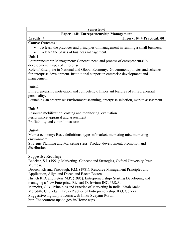# Paper-14B: Entrepreneurship Management

#### Credits: 4 Theory: 04 + Practical: 00

#### Course Outcome:

- To learn the practices and principles of management in running a small business.
- To learn the basics of business management.

#### Unit-1

Entrepreneurship Management: Concept, need and process of entrepreneurship development. Types of enterprise

Role of Enterprise in National and Global Economy: Government policies and schemes for enterprise development. Institutional support in enterprise development and management

# Unit-2

Entrepreneurship motivation and competency: Important features of entrepreneurial personality.

Launching an enterprise: Environment scanning, enterprise selection, market assessment.

# Unit-3

Resource mobilization, costing and monitoring, evaluation Performance appraisal and assessment Profitability and control measures

# Unit-4

Market economy: Basic definitions, types of market, marketing mix, marketing environment

Strategic Planning and Marketing steps: Product development, promotion and distribution.

# Suggestive Reading:

Bedekar, S.J. (1991): Marketing- Concept and Strategies, Oxford University Press, Mumbai.

Deacen, RE and Firebaugh, F.M. (1981): Resource Management Principles and Application, Allyn and Dacen and Bacen Bosten.

Hirtich R.D. and Peters M.P. (1995): Entrepreneurship- Starting Developing and managing a New Enterprise, Richard D. Irwinm INC, U.S.A.

Memoirs, C.B., Principles and Practice of Marketing in India, Kitab Mahal

Meredith, G.G. et.al. (1982) Practice of Entrepreneurship. ILO, Geneva

Suggestive digital platforms web links- Svayam Portal,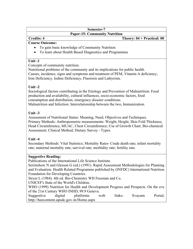# Paper-15: Community Nutrition

# Credits: 4 Theory: 04 + Practical: 00

# Course Outcome:

- To gain basic knowledge of Community Nutrition
- To learn about Health Based Diagnostics and Programmes

# Unit -1

Concepts of community nutrition.

Nutritional problems of the community and its implications for public health. Causes, incidence, signs and symptoms and treatment of PEM, Vitamin A deficiency, Iron Deficiency, Iodine Deficiency, Fluorosis and Lathyrism.

# Unit -2

Sociological factors contributing in the Etiology and Prevention of Malnutrition: Food production and availability, cultural influences, socio-economic factors, food consumption and distribution, emergency disaster conditions. Malnutrition and Infection: Interrelationship between the two, Immunization.

# Unit -3

Assessment of Nutritional Status: Meaning, Need, Objectives and Techniques. Primary Methods: Anthropometric measurements: Weight, Height, Skin Fold Thickness, Head Circumference, MUAC, Chest Circumference; Use of Growth Chart; Bio-chemical Assessment; Clinical Method; Dietary Survey - Types.

# Unit  $-4$

Secondary Methods: Vital Statistics; Mortality Rates- Crude death rate; infant mortality rate; maternal mortality rate; survival rate; morbidity rate; fertility rate.

# Suggestive Reading:

Publications of the International Life Science Institute.

Serimshow N and Glesson G (ed.) (1991). Rapid Assessment Methodologies for Planning and Evaluation. Health Related Programme published by (INFDC) International Nutrition Foundation for Developing Countries.

Stryer L (1984). 4th ed. Bio-Chemistry WH Freeman and Co.

UNICEF's State of the World's Children.

WHO (1999) Nutrition for Health and Development Progress and Prospects. On the eve of the 21st Century WHO INHD, 99.9 Geneva.

Suggestive digital platforms web links- Svayam Portal, http://heecontent.upsdc.gov.in/Home.aspx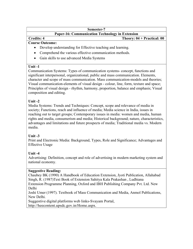# Paper-16: Communication Technology in Extension

Credits: 4 Theory: 04 + Practical: 00

#### Course Outcome:

- Develop understanding for Effective teaching and learning.
- Comprehend the various effective communication methods.
- Gain skills to use advanced Media Systems

# Unit -1

Communication Systems: Types of communication systems- concept, functions and significant interpersonal, organizational, public and mass communication. Elements, character and scope of mass communication. Mass communication-models and theories; Visual communication-elements of visual design - colour, line, form, texture and space; Principles of visual design - rhythm, harmony, proportion, balance and emphasis; Visual composition and editing.

# Unit -2

Media Systems: Trends and Techniques: Concept, scope and relevance of media in society; Functions, reach and influence of media; Media science in India, issues in reaching out to target groups; Contemporary issues in media: women and media, human rights and media, consumerism and media; Historical background; nature, characteristics, advantages and limitations and future prospects of media; Traditional media vs. Modern media.

# Unit -3

Print and Electronic Media: Background, Types, Role and Significance; Advantages and Effective Usage

# Unit  $-4$

Advertising: Definition, concept and role of advertising in modern marketing system and national economy.

# Suggestive Reading:

Chaubey BK (1990) A Handbook of Education Extension, Jyoti Publication, Allahabad Singh, R. (1987)Text Book of Extension Sahitya Kala Prakashan , Ludhiana Extension Programme Planning, Oxford and IBH Publishing Company Pvt. Ltd. New Delhi

Joshi Umer (1997). Textbook of Mass Communication and Media, Anmol Publications, New Delhi.

Suggestive digital platforms web links- Svayam Portal, http://heecontent.upsdc.gov.in/Home.aspx.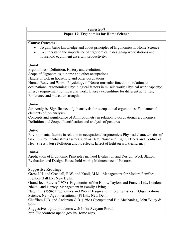#### Semester-7 Paper-17: Ergonomics for Home Science

#### Course Outcome:

- To gain basic knowledge and about principles of Ergonomics in Home Science
- To understand the importance of ergonomics in designing work stations and household equipment ascertain productivity.

#### Unit-1

Ergonomics: Definition, History and evolution.

Scope of Ergonomics in home and other occupations

Nature of wok in household and other occupations

Human Body and Work: Physiology of Neuro-muscular function in relation to occupational ergonomics; Physiological factors in muscle work; Physical work capacity; Energy requirement for muscular work; Energy expenditure for different activities; Endurance and muscular strength.

#### Unit-2

Job Analysis: Significance of job analysis for occupational ergonomics; Fundamental elements of job analysis.

Concepts and significance of Anthropometry in relation to occupational ergonomics: Definition and Scope; Identification and analysis of postures

# Unit-3

Environmental factors in relation to occupational ergonomics: Physical characteristics of task; Environmental stress factors such as Heat, Noise and Light; Effects and Control of Heat Stress; Noise Pollution and its effects; Effect of light on work efficiency

# Unit-4

Application of Ergonomic Principles in: Tool Evaluation and Design; Work Station Evaluation and Design; House hold works; Maintenance of Postures

# Suggestive Reading:

Gross I.H. and Crendall, E.W. and Knoll, M.M.- Management for Modern Families, Prentice Hall Inc. New Delhi.

Grand Jeen Ettiens (1978)- Ergonomics of the Home, Taylors and Francis Ltd., London. Nickell and Dorsey, Management in Family Living.

Nag, P.K. (1996) Ergonomics and Work Design and Emerging Issues in Organizational Science, New Age International (P) Ltd., New Delhi.

Chaffinm D.B. and Anderson G.B. (1984) Occupational Bio-Mechanics,, John Wiley & Sons

Suggestive digital platforms web links- Svayam Portal, http://heecontent.upsdc.gov.in/Home.aspx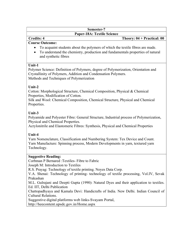#### Semester-7 Paper-18A: Textile Science

#### Credits: 4 Theory: 04 + Practical: 00

#### Course Outcome:

- To acquaint students about the polymers of which the textile fibres are made.
- To understand the chemistry, production and fundamentals properties of natural and synthetic fibres

#### Unit-1

Polymer Science: Definition of Polymers, degree of Polymerization, Orientation and Crystallinity of Polymers, Addition and Condensation Polymers. Methods and Techniques of Polymerization

# Unit-2

Cotton: Morphological Structure, Chemical Composition, Physical & Chemical Properties, Modification of Cotton.

Silk and Wool: Chemical Composition, Chemical Structure, Physical and Chemical Properties.

# Unit-3

Polyamide and Polyester Fibre: General Structure, Industrial process of Polymerization, Physical and Chemical Properties.

Acrylonitrile and Elastomeric Fibres: Synthesis, Physical and Chemical Properties

# Unit-4

Yarn Nomenclature, Classification and Numbering System: Tex Device and Count. Yarn Manufacture: Spinning process, Modern Developments in yarn, textured yarn Technology.

# Suggestive Reading:

Corbman P Bernared :Textiles- Fibre to Fabric Joseph M: Introduction to Textiles R.S. Prayag: Technology of textile printing. Noyes Data Corp. V.A. Shenai: Technology of printing- technology of textile processing, Vol.IV, Sevak Prakashan M.L. Gulrajani and Deepti Gupta (1990): Natural Dyes and their application to textiles. Ed. IIT, Delhi Publication Chattopadhyaya and Kamala Devi: Handicrafts of India. New Delhi. Indian Council of Cultural Relations.

Suggestive digital platforms web links- Svayam Portal,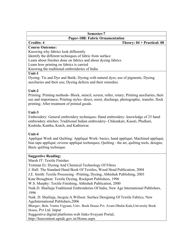| Semester-7                                                    |                                      |  |  |  |  |  |  |
|---------------------------------------------------------------|--------------------------------------|--|--|--|--|--|--|
| <b>Paper-18B: Fabric Ornamentation</b>                        |                                      |  |  |  |  |  |  |
| <b>Credits: 4</b>                                             | Theory: $04 + \text{Practical: } 00$ |  |  |  |  |  |  |
| <b>Course Outcome:</b>                                        |                                      |  |  |  |  |  |  |
| Knowing why fabrics look differently                          |                                      |  |  |  |  |  |  |
| Identify the different techniques of fabric from surface      |                                      |  |  |  |  |  |  |
| Learn about finishes done on fabrics and about dyeing fabrics |                                      |  |  |  |  |  |  |
| Learn how printing on fabrics is carried                      |                                      |  |  |  |  |  |  |
| Knowing the traditional embroideries of India                 |                                      |  |  |  |  |  |  |
|                                                               |                                      |  |  |  |  |  |  |

#### Unit-1

Dyeing: Tie and Dye and Batik; Dyeing with natural dyes, use of pigments; Dyeing auxiliaries and their use; Dyeing defects and their remedies.

# Unit-2

Printing: Printing methods- Block, stencil, screen, roller, rotary; Printing auxiliaries, their use and importance; Printing styles- direct, resist, discharge, photographic, transfer, flock printing; After treatment of printed goods.

# Unit-3

Embroidery: General embroidery techniques; Hand embroidery- knowledge of 25 hand embroidery stitches; Traditional Indian embroidery- Chikankari, Kasuti, Phulkari, Kashida, Kantha, Kutch, and Kathiawar.

# Unit-4

Appliqué Work and Quilting: Appliqué Work- basics, hand appliqué; Machined appliqué, bias tape appliqué, reverse appliqué techniques; Quilting - the art, quilting tools, designs; Basic quilting technique.

# Suggestive Reading:

Marsh JT: Textile Finishes Trotman Er: Dyeing And Chemical Technology Of Fibres J. Hall: The Standard Hand Book Of Textiles, Wood Head Publication, 2004 J.E. Smith: Textile Processing –Printing, Dyeing, Abhishek Publishing, 2003 Kate Broughton: Textile Dyeing, Rockport Publishers, 1996 W.S. Murphy: Textile Finishing, Abhishek Publication, 2000 Naik.D. Shailiaja:Traditional Embroideries Of India, New Age International Publishers, 1996 Naik. D. Shailiaja, Jacquie.A.Willson: Surface Designing Of Textile Fabrics, New Age International Publishers,2006 Bhargav, Bela. Vastra Vigyaan, Univ. Book House Pvt. Avam Dhulai Kala,University Book House, Pvt Ltd. Jaipur Suggestive digital platforms web links- Svayam Portal, http://heecontent.upsdc.gov.in/Home.aspx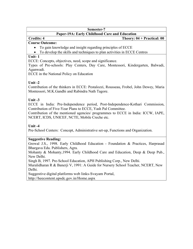# Paper-19A: Early Childhood Care and Education

#### Credits: 4 Theory: 04 + Practical: 00 Course Outcome:

- To gain knowledge and insight regarding principles of ECCE
- To develop the skills and techniques to plan activities in ECCE Centres

# Unit- 1

ECCE: Concepts, objectives, need, scope and significance.

Types of Pre-schools: Play Centers, Day Care, Montessori, Kindergarten, Balwadi, Aganwadi.

ECCE in the National Policy on Education

# Unit -2

Contribution of the thinkers in ECCE: Pestalozzi, Rousseau, Frobel, John Dewey, Maria Montessori, M.K.Gandhi and Rabindra Nath Tagore.

# Unit -3

ECCE in India: Pre-Independence period, Post-Independence-Kothari Commission, Contribution of Five-Year Plans to ECCE, Yash Pal Committee.

Contribution of the mentioned agencies/ programmes to ECCE in India: ICCW, IAPE, NCERT, ICDS, UNICEF, NCTE, Mobile Creche etc.

# Unit -4

Pre-School Centers: Concept, Administrative set-up, Functions and Organization.

# Suggestive Reading:

Grewal J.S., 1998. Early Childhood Education - Foundation & Practices, Harprasad Bhargava Edu. Publishers, Agra.

Mohanty & Mohanty,1994. Early Childhood Care and Education, Deep & Deep Pub., New Delhi.

Singh B, 1997. Pre-School Education, APH Publishing Corp., New Delhi.

Muralidharan R & Banerji V, 1991: A Guide for Nursery School Teacher, NCERT, New Delhi.

Suggestive digital platforms web links- Svayam Portal, http://heecontent.upsdc.gov.in/Home.aspx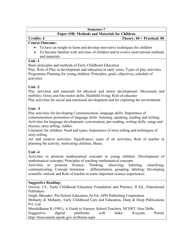# Paper-19B: Methods and Materials for Children

# Credits: 4 Theory: 04 + Practical: 00

#### Course Outcome:

- To have an insight to learn and develop innovative techniques for children
- To become familiar with activities of children and to evolve motivational methods and materials

#### Unit -1

Basic principles and methods of Early Childhood Education

Play: Role of Play in development and education in early years; Types of play activities. Programme Planning for young children: Principles, goals, objectives, schedule of activities.

# Unit -2

Play activities and materials for physical and motor development: Movement and mobility; Gross and fine motor skills; Healthful living; Role of educator

Play activities for social and emotional development and for exploring the environment

# Unit  $-3$

Play activities for developing Communication- language skills: Importance of communication, promotion of language skills- listening, speaking, reading and writing; Activities for language development: conversation, pre-reading, writing skills, songs and rhymes, story-telling, riddles.

Literature for children: Need and types; Importance of story-telling and techniques of story-telling.

Art and creative activities: Significance, types of art activities; Role of teacher in planning the activity, motivating children; Music

# Unit  $-4$

Activities to promote mathematical concepts in young children: Development of mathematical concepts; Principles of teaching mathematical concepts

Activities to promote Science: Thinking, observing, inferring, classifying, communicating; Concept formation – differentiation, grouping, labeling; Developing scientific outlook and Role of teacher in some important science experiences.

#### Suggestive Reading:

Grewal, J.S., Early Childhood Education Foundation and Practice, II Ed., Educational Publishers.

Singh, Bhoodev, Pre-School Education, Ist Ed. APH Publishing Corporation.

Mohanty & Mohanty, Early Childhood Care and Education, Deep & Deep Publications Pvt. Ltd.

Muralidharan R (1991), A Guide to Nursery School Teachers, NCERT, New Delhi.

Suggestive digital platforms web links- Svayam Portal, http://heecontent.upsdc.gov.in/Home.aspx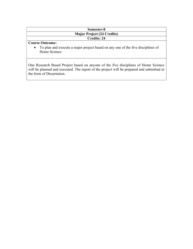# Semester-8 Major Project (24 Credits) Credits: 24

#### Course Outcome:

 To plan and execute a major project based on any one of the five disciplines of Home Science

One Research Based Project based on anyone of the five disciplines of Home Science will be planned and executed. The report of the project will be prepared and submitted in the form of Dissertation.